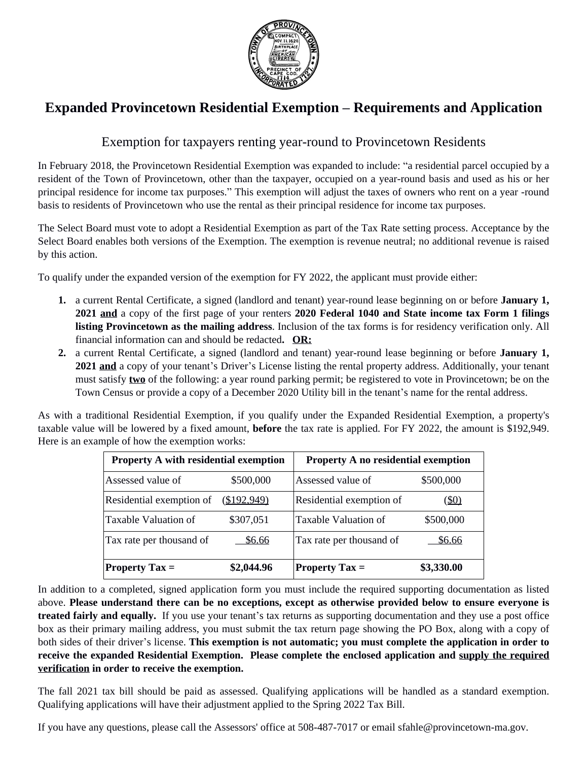

## **Expanded Provincetown Residential Exemption – Requirements and Application**

## Exemption for taxpayers renting year-round to Provincetown Residents

In February 2018, the Provincetown Residential Exemption was expanded to include: "a residential parcel occupied by a resident of the Town of Provincetown, other than the taxpayer, occupied on a year-round basis and used as his or her principal residence for income tax purposes." This exemption will adjust the taxes of owners who rent on a year -round basis to residents of Provincetown who use the rental as their principal residence for income tax purposes.

The Select Board must vote to adopt a Residential Exemption as part of the Tax Rate setting process. Acceptance by the Select Board enables both versions of the Exemption. The exemption is revenue neutral; no additional revenue is raised by this action.

To qualify under the expanded version of the exemption for FY 2022, the applicant must provide either:

- **1.** a current Rental Certificate, a signed (landlord and tenant) year-round lease beginning on or before **January 1, 2021 and** a copy of the first page of your renters **2020 Federal 1040 and State income tax Form 1 filings listing Provincetown as the mailing address**. Inclusion of the tax forms is for residency verification only. All financial information can and should be redacted**. OR:**
- **2.** a current Rental Certificate, a signed (landlord and tenant) year-round lease beginning or before **January 1, 2021 and** a copy of your tenant's Driver's License listing the rental property address. Additionally, your tenant must satisfy **two** of the following: a year round parking permit; be registered to vote in Provincetown; be on the Town Census or provide a copy of a December 2020 Utility bill in the tenant's name for the rental address.

As with a traditional Residential Exemption, if you qualify under the Expanded Residential Exemption, a property's taxable value will be lowered by a fixed amount, **before** the tax rate is applied. For FY 2022, the amount is \$192,949. Here is an example of how the exemption works:

| <b>Property A with residential exemption</b> |             | <b>Property A no residential exemption</b> |              |
|----------------------------------------------|-------------|--------------------------------------------|--------------|
| Assessed value of                            | \$500,000   | Assessed value of                          | \$500,000    |
| Residential exemption of                     | (\$192,949) | Residential exemption of                   | <u>(\$0)</u> |
| Taxable Valuation of                         | \$307,051   | Taxable Valuation of                       | \$500,000    |
| Tax rate per thousand of                     | \$6.66      | Tax rate per thousand of                   | \$6.66       |
| <b>Property Tax <math>=</math></b>           | \$2,044.96  | <b>Property Tax <math>=</math></b>         | \$3,330.00   |

In addition to a completed, signed application form you must include the required supporting documentation as listed above. **Please understand there can be no exceptions, except as otherwise provided below to ensure everyone is treated fairly and equally.** If you use your tenant's tax returns as supporting documentation and they use a post office box as their primary mailing address, you must submit the tax return page showing the PO Box, along with a copy of both sides of their driver's license. **This exemption is not automatic; you must complete the application in order to receive the expanded Residential Exemption. Please complete the enclosed application and supply the required verification in order to receive the exemption.**

The fall 2021 tax bill should be paid as assessed. Qualifying applications will be handled as a standard exemption. Qualifying applications will have their adjustment applied to the Spring 2022 Tax Bill.

If you have any questions, please call the Assessors' office at 508-487-7017 or email sfahle@provincetown-ma.gov.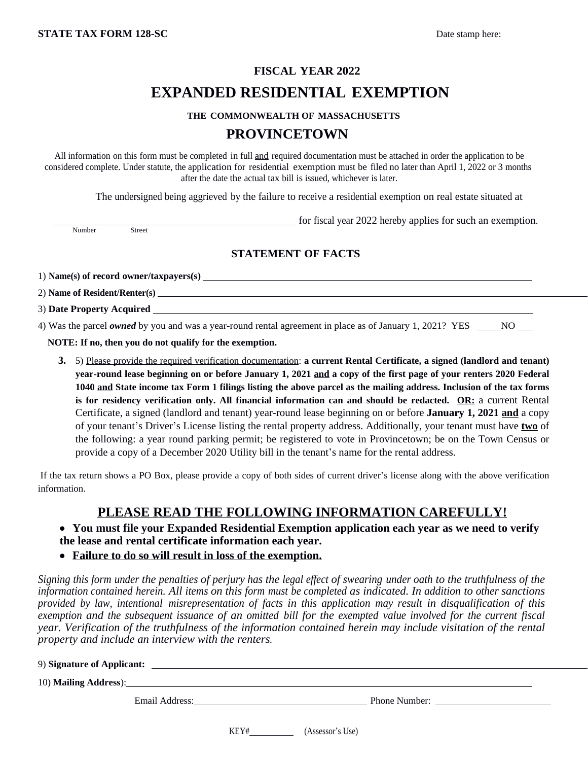# **FISCAL YEAR 2022 EXPANDED RESIDENTIAL EXEMPTION**

#### **THE COMMONWEALTH OF MASSACHUSETTS**

### **PROVINCETOWN**

All information on this form must be completed in full and required documentation must be attached in order the application to be considered complete. Under statute, the application for residential exemption must be filed no later than April 1, 2022 or 3 months after the date the actual tax bill is issued, whichever is later.

The undersigned being aggrieved by the failure to receive a residential exemption on real estate situated at

Number

for fiscal year 2022 hereby applies for such an exemption.

### **STATEMENT OF FACTS**

1) **Name(s) of record owner/taxpayers(s)**

2) **Name of Resident/Renter(s)**

3) **Date Property Acquired** 

4) Was the parcel *owned* by you and was a year-round rental agreement in place as of January 1, 2021? YES \_\_\_\_NO

**NOTE: If no, then you do not qualify for the exemption.**

**3.** 5) Please provide the required verification documentation: **a current Rental Certificate, a signed (landlord and tenant)** year-round lease beginning on or before January 1, 2021 and a copy of the first page of your renters 2020 Federal 1040 and State income tax Form 1 filings listing the above parcel as the mailing address. Inclusion of the tax forms **is for residency verification only. All financial information can and should be redacted. OR:** a current Rental Certificate, a signed (landlord and tenant) year-round lease beginning on or before **January 1, 2021 and** a copy of your tenant's Driver's License listing the rental property address. Additionally, your tenant must have **two** of the following: a year round parking permit; be registered to vote in Provincetown; be on the Town Census or provide a copy of a December 2020 Utility bill in the tenant's name for the rental address.

If the tax return shows a PO Box, please provide a copy of both sides of current driver's license along with the above verification information.

## **PLEASE READ THE FOLLOWING INFORMATION CAREFULLY!**

 **You must file your Expanded Residential Exemption application each year as we need to verify the lease and rental certificate information each year.**

**Failure to do so will result in loss of the exemption.**

Signing this form under the penalties of perjury has the legal effect of swearing under oath to the truthfulness of the information contained herein. All items on this form must be completed as indicated. In addition to other sanctions provided by law, intentional misrepresentation of facts in this application may result in disqualification of this exemption and the subsequent issuance of an omitted bill for the exempted value involved for the current fiscal *year. Verification of the truthfulness of the information contained herein may include visitation of the rental property and include an interview with the renters.*

| 9) Signature of Applicant: |  |
|----------------------------|--|
|                            |  |
| 10) Mailing Address):      |  |

Email Address:

KEY# (Assessor's Use)